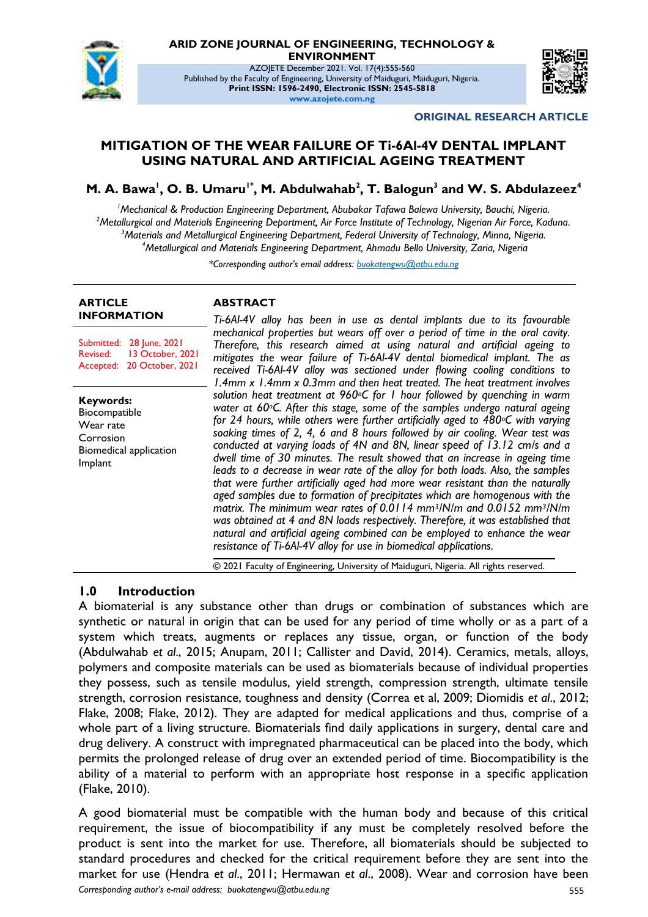

**ARID ZONE JOURNAL OF ENGINEERING, TECHNOLOGY & ENVIRONMENT**

AZOJETE December 2021. Vol. 17(4):555-560 Published by the Faculty of Engineering, University of Maiduguri, Maiduguri, Nigeria. **Print ISSN: 1596-2490, Electronic ISSN: 2545-5818 www.azojete.com.ng**



**ORIGINAL RESEARCH ARTICLE**

# **MITIGATION OF THE WEAR FAILURE OF Ti-6Al-4V DENTAL IMPLANT USING NATURAL AND ARTIFICIAL AGEING TREATMENT**

**M. A. Bawa<sup>1</sup> , O. B. Umaru1\*, M. Abdulwahab<sup>2</sup> , T. Balogun<sup>3</sup> and W. S. Abdulazeez<sup>4</sup>**

*Mechanical & Production Engineering Department, Abubakar Tafawa Balewa University, Bauchi, Nigeria. Metallurgical and Materials Engineering Department, Air Force Institute of Technology, Nigerian Air Force, Kaduna. Materials and Metallurgical Engineering Department, Federal University of Technology, Minna, Nigeria. Metallurgical and Materials Engineering Department, Ahmadu Bello University, Zaria, Nigeria*

*\*Corresponding author's email address: buokatengwu@atbu.edu.ng*

#### **ARTICLE INFORMATION**

Submitted: 28 June, 2021 Revised: 13 October, 2021 Accepted: 20 October, 2021

**Keywords:** Biocompatible Wear rate Corrosion Biomedical application Implant

# **ABSTRACT**

*Ti-6Al-4V alloy has been in use as dental implants due to its favourable mechanical properties but wears off over a period of time in the oral cavity. Therefore, this research aimed at using natural and artificial ageing to mitigates the wear failure of Ti-6Al-4V dental biomedical implant. The as received Ti-6Al-4V alloy was sectioned under flowing cooling conditions to 1.4mm x 1.4mm x 0.3mm and then heat treated. The heat treatment involves solution heat treatment at 960oC for 1 hour followed by quenching in warm water at 60oC. After this stage, some of the samples undergo natural ageing for 24 hours, while others were further artificially aged to 480oC with varying soaking times of 2, 4, 6 and 8 hours followed by air cooling. Wear test was conducted at varying loads of 4N and 8N, linear speed of 13.12 cm/s and a dwell time of 30 minutes. The result showed that an increase in ageing time leads to a decrease in wear rate of the alloy for both loads. Also, the samples that were further artificially aged had more wear resistant than the naturally aged samples due to formation of precipitates which are homogenous with the matrix. The minimum wear rates of 0.0114 mm3/N/m and 0.0152 mm3/N/m was obtained at 4 and 8N loads respectively. Therefore, it was established that natural and artificial ageing combined can be employed to enhance the wear resistance of Ti-6Al-4V alloy for use in biomedical applications.*

© 2021 Faculty of Engineering, University of Maiduguri, Nigeria. All rights reserved.

# **1.0 Introduction**

A biomaterial is any substance other than drugs or combination of substances which are synthetic or natural in origin that can be used for any period of time wholly or as a part of a system which treats, augments or replaces any tissue, organ, or function of the body (Abdulwahab *et al*., 2015; Anupam, 2011; Callister and David, 2014). Ceramics, metals, alloys, polymers and composite materials can be used as biomaterials because of individual properties they possess, such as tensile modulus, yield strength, compression strength, ultimate tensile strength, corrosion resistance, toughness and density (Correa et al, 2009; Diomidis *et al*., 2012; Flake, 2008; Flake, 2012). They are adapted for medical applications and thus, comprise of a whole part of a living structure. Biomaterials find daily applications in surgery, dental care and drug delivery. A construct with impregnated pharmaceutical can be placed into the body, which permits the prolonged release of drug over an extended period of time. Biocompatibility is the ability of a material to perform with an appropriate host response in a specific application (Flake, 2010).

*Corresponding author's e-mail address: buokatengwu@atbu.edu.ng* 555 A good biomaterial must be compatible with the human body and because of this critical requirement, the issue of biocompatibility if any must be completely resolved before the product is sent into the market for use. Therefore, all biomaterials should be subjected to standard procedures and checked for the critical requirement before they are sent into the market for use (Hendra *et al*., 2011; Hermawan *et al*., 2008). Wear and corrosion have been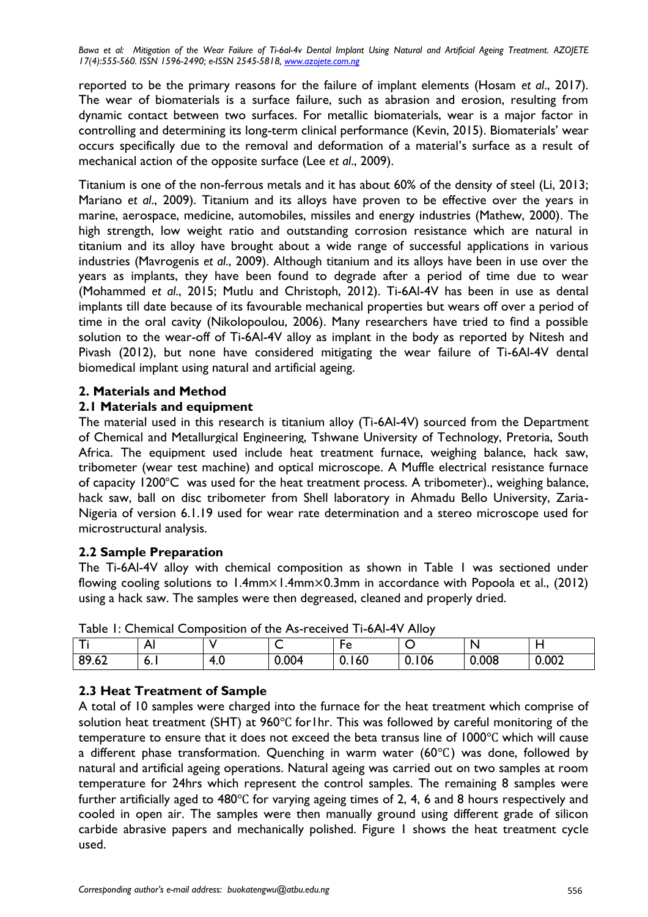*Bawa et al: Mitigation of the Wear Failure of Ti-6al-4v Dental Implant Using Natural and Artificial Ageing Treatment. AZOJETE 17(4):555-560. ISSN 1596-2490; e-ISSN 2545-5818, www.azojete.com.ng*

reported to be the primary reasons for the failure of implant elements (Hosam *et al*., 2017). The wear of biomaterials is a surface failure, such as abrasion and erosion, resulting from dynamic contact between two surfaces. For metallic biomaterials, wear is a major factor in controlling and determining its long-term clinical performance (Kevin, 2015). Biomaterials' wear occurs specifically due to the removal and deformation of a material's surface as a result of mechanical action of the opposite surface (Lee *et al*., 2009).

Titanium is one of the non-ferrous metals and it has about 60% of the density of steel (Li, 2013; Mariano *et al*., 2009). Titanium and its alloys have proven to be effective over the years in marine, aerospace, medicine, automobiles, missiles and energy industries (Mathew, 2000). The high strength, low weight ratio and outstanding corrosion resistance which are natural in titanium and its alloy have brought about a wide range of successful applications in various industries (Mavrogenis *et al*., 2009). Although titanium and its alloys have been in use over the years as implants, they have been found to degrade after a period of time due to wear (Mohammed *et al*., 2015; Mutlu and Christoph, 2012). Ti-6Al-4V has been in use as dental implants till date because of its favourable mechanical properties but wears off over a period of time in the oral cavity (Nikolopoulou, 2006). Many researchers have tried to find a possible solution to the wear-off of Ti-6Al-4V alloy as implant in the body as reported by Nitesh and Pivash (2012), but none have considered mitigating the wear failure of Ti-6Al-4V dental biomedical implant using natural and artificial ageing.

### **2. Materials and Method**

### **2.1 Materials and equipment**

The material used in this research is titanium alloy (Ti-6Al-4V) sourced from the Department of Chemical and Metallurgical Engineering, Tshwane University of Technology, Pretoria, South Africa. The equipment used include heat treatment furnace, weighing balance, hack saw, tribometer (wear test machine) and optical microscope. A Muffle electrical resistance furnace of capacity  $1200^{\circ}$ C was used for the heat treatment process. A tribometer)., weighing balance, hack saw, ball on disc tribometer from Shell laboratory in Ahmadu Bello University, Zaria-Nigeria of version 6.1.19 used for wear rate determination and a stereo microscope used for microstructural analysis.

### **2.2 Sample Preparation**

The Ti-6Al-4V alloy with chemical composition as shown in Table 1 was sectioned under flowing cooling solutions to 1.4mm $\times$ 1.4mm $\times$ 0.3mm in accordance with Popoola et al., (2012) using a hack saw. The samples were then degreased, cleaned and properly dried.

|                    | Δ<br>гν    |          | ∽     | ⊢≏<br>╰       | ∼     |       |       |
|--------------------|------------|----------|-------|---------------|-------|-------|-------|
| 00(2)<br>o<br>7.0∠ | <b>D.I</b> | 4<br>T.U | 0.004 | <u>U. 160</u> | 0.106 | 0.008 | 0.002 |

Table 1: Chemical Composition of the As-received Ti-6Al-4V Alloy

# **2.3 Heat Treatment of Sample**

A total of 10 samples were charged into the furnace for the heat treatment which comprise of solution heat treatment (SHT) at  $960^{\circ}$ C for1hr. This was followed by careful monitoring of the temperature to ensure that it does not exceed the beta transus line of  $1000^{\circ}$ C which will cause a different phase transformation. Quenching in warm water  $(60^{\circ}C)$  was done, followed by natural and artificial ageing operations. Natural ageing was carried out on two samples at room temperature for 24hrs which represent the control samples. The remaining 8 samples were further artificially aged to  $480^{\circ}$ C for varying ageing times of 2, 4, 6 and 8 hours respectively and cooled in open air. The samples were then manually ground using different grade of silicon carbide abrasive papers and mechanically polished. Figure 1 shows the heat treatment cycle used.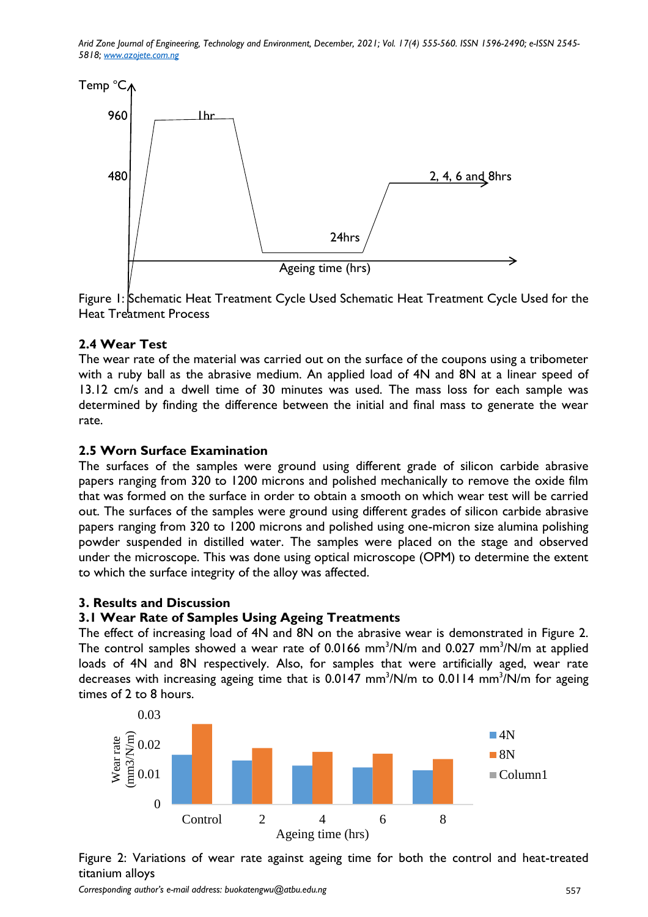*Arid Zone Journal of Engineering, Technology and Environment, December, 2021; Vol. 17(4) 555-560. ISSN 1596-2490; e-ISSN 2545- 5818; www.azojete.com.ng*



Figure 1: Schematic Heat Treatment Cycle Used Schematic Heat Treatment Cycle Used for the Heat Treatment Process

# **2.4 Wear Test**

The wear rate of the material was carried out on the surface of the coupons using a tribometer with a ruby ball as the abrasive medium. An applied load of 4N and 8N at a linear speed of 13.12 cm/s and a dwell time of 30 minutes was used. The mass loss for each sample was determined by finding the difference between the initial and final mass to generate the wear rate.

# **2.5 Worn Surface Examination**

The surfaces of the samples were ground using different grade of silicon carbide abrasive papers ranging from 320 to 1200 microns and polished mechanically to remove the oxide film that was formed on the surface in order to obtain a smooth on which wear test will be carried out. The surfaces of the samples were ground using different grades of silicon carbide abrasive papers ranging from 320 to 1200 microns and polished using one-micron size alumina polishing powder suspended in distilled water. The samples were placed on the stage and observed under the microscope. This was done using optical microscope (OPM) to determine the extent to which the surface integrity of the alloy was affected.

### **3. Results and Discussion**

# **3.1 Wear Rate of Samples Using Ageing Treatments**

The effect of increasing load of 4N and 8N on the abrasive wear is demonstrated in Figure 2. The control samples showed a wear rate of 0.0166 mm<sup>3</sup>/N/m and 0.027 mm<sup>3</sup>/N/m at applied loads of 4N and 8N respectively. Also, for samples that were artificially aged, wear rate decreases with increasing ageing time that is 0.0147 mm<sup>3</sup>/N/m to 0.0114 mm<sup>3</sup>/N/m for ageing times of 2 to 8 hours.



Figure 2: Variations of wear rate against ageing time for both the control and heat-treated titanium alloys

*Corresponding author's e-mail address: buokatengwu@atbu.edu.ng* 557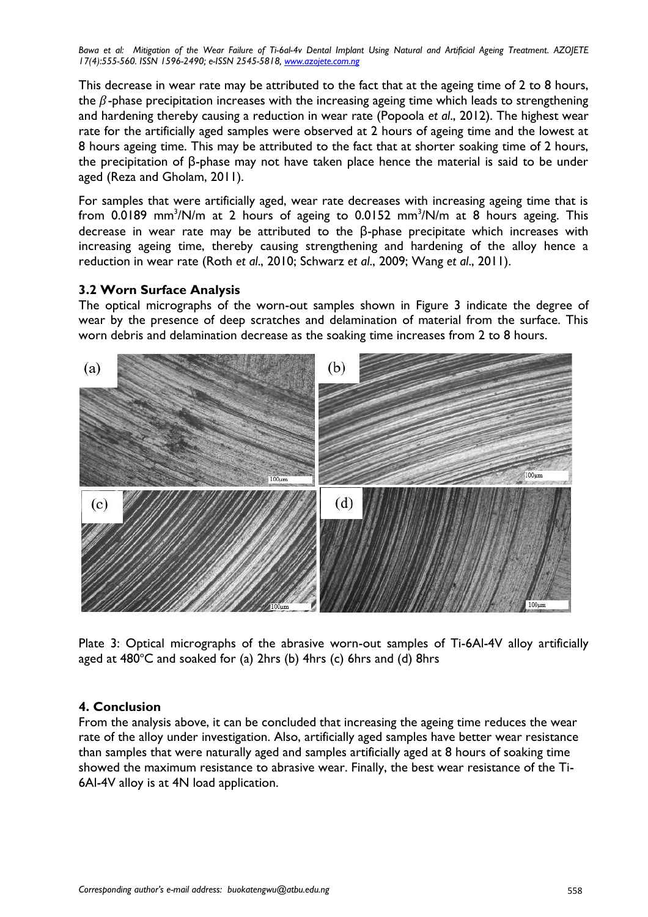*Bawa et al: Mitigation of the Wear Failure of Ti-6al-4v Dental Implant Using Natural and Artificial Ageing Treatment. AZOJETE 17(4):555-560. ISSN 1596-2490; e-ISSN 2545-5818, www.azojete.com.ng*

This decrease in wear rate may be attributed to the fact that at the ageing time of 2 to 8 hours, the  $\beta$ -phase precipitation increases with the increasing ageing time which leads to strengthening and hardening thereby causing a reduction in wear rate (Popoola *et al*., 2012). The highest wear rate for the artificially aged samples were observed at 2 hours of ageing time and the lowest at 8 hours ageing time. This may be attributed to the fact that at shorter soaking time of 2 hours, the precipitation of β-phase may not have taken place hence the material is said to be under aged (Reza and Gholam, 2011).

For samples that were artificially aged, wear rate decreases with increasing ageing time that is from 0.0189 mm ${}^{3}/$ N/m at 2 hours of ageing to 0.0152 mm ${}^{3}/$ N/m at 8 hours ageing. This decrease in wear rate may be attributed to the β-phase precipitate which increases with increasing ageing time, thereby causing strengthening and hardening of the alloy hence a reduction in wear rate (Roth *et al*., 2010; Schwarz *et al*., 2009; Wang *et al*., 2011).

### **3.2 Worn Surface Analysis**

The optical micrographs of the worn-out samples shown in Figure 3 indicate the degree of wear by the presence of deep scratches and delamination of material from the surface. This worn debris and delamination decrease as the soaking time increases from 2 to 8 hours.



Plate 3: Optical micrographs of the abrasive worn-out samples of Ti-6Al-4V alloy artificially aged at  $480^{\circ}$ C and soaked for (a) 2hrs (b) 4hrs (c) 6hrs and (d) 8hrs

# **4. Conclusion**

From the analysis above, it can be concluded that increasing the ageing time reduces the wear rate of the alloy under investigation. Also, artificially aged samples have better wear resistance than samples that were naturally aged and samples artificially aged at 8 hours of soaking time showed the maximum resistance to abrasive wear. Finally, the best wear resistance of the Ti-6Al-4V alloy is at 4N load application.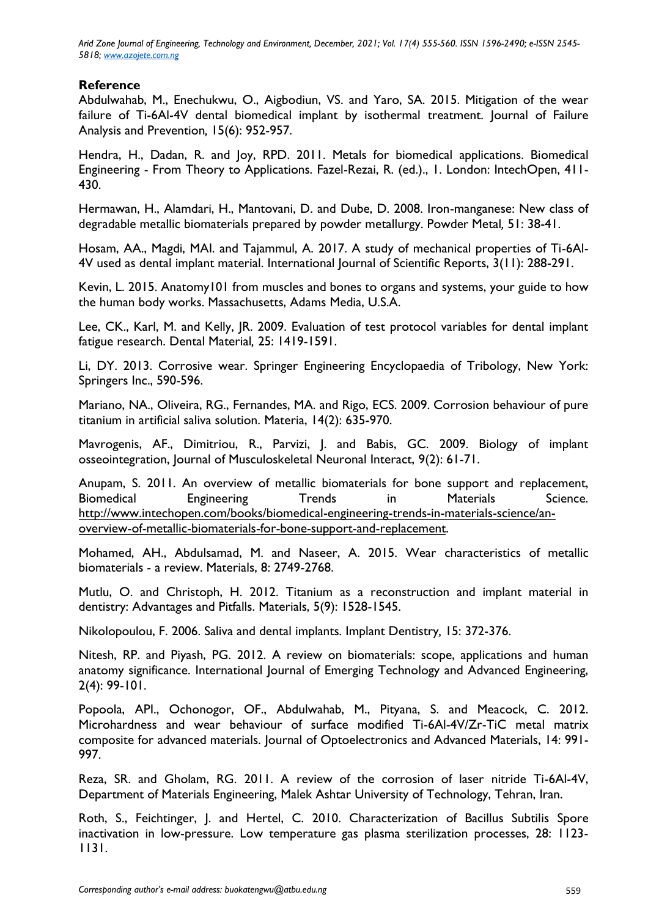*Arid Zone Journal of Engineering, Technology and Environment, December, 2021; Vol. 17(4) 555-560. ISSN 1596-2490; e-ISSN 2545- 5818; www.azojete.com.ng*

# **Reference**

Abdulwahab, M., Enechukwu, O., Aigbodiun, VS. and Yaro, SA. 2015. Mitigation of the wear failure of Ti-6Al-4V dental biomedical implant by isothermal treatment. Journal of Failure Analysis and Prevention*,* 15(6): 952-957.

Hendra, H., Dadan, R. and Joy, RPD. 2011. Metals for biomedical applications. Biomedical Engineering - From Theory to Applications. Fazel-Rezai, R. (ed.)., 1. London: IntechOpen, 411- 430.

Hermawan, H., Alamdari, H., Mantovani, D. and Dube, D. 2008. Iron-manganese: New class of degradable metallic biomaterials prepared by powder metallurgy. Powder Metal*,* 51: 38-41.

Hosam, AA., Magdi, MAI. and Tajammul, A. 2017. A study of mechanical properties of Ti-6Al-4V used as dental implant material. International Journal of Scientific Reports, 3(11): 288-291.

Kevin, L. 2015. Anatomy101 from muscles and bones to organs and systems, your guide to how the human body works. Massachusetts, Adams Media, U.S.A.

Lee, CK., Karl, M. and Kelly, JR. 2009. Evaluation of test protocol variables for dental implant fatigue research. Dental Material*,* 25: 1419-1591.

Li, DY. 2013. Corrosive wear. Springer Engineering Encyclopaedia of Tribology, New York: Springers Inc., 590-596.

Mariano, NA., Oliveira, RG., Fernandes, MA. and Rigo, ECS. 2009. Corrosion behaviour of pure titanium in artificial saliva solution. Materia, 14(2): 635-970.

Mavrogenis, AF., Dimitriou, R., Parvizi, J. and Babis, GC. 2009. Biology of implant osseointegration, Journal of Musculoskeletal Neuronal Interact, 9(2): 61-71.

Anupam, S. 2011. An overview of metallic biomaterials for bone support and replacement, Biomedical Engineering Trends in Materials Science. [http://www.intechopen.com/books/biomedical-engineering-trends-in-materials-science/an](http://www.intechopen.com/books/biomedical-engineering-trends-in-materials-science/an-overview-of-metallic-biomaterials-for-bone-support-and-replacement)[overview-of-metallic-biomaterials-for-bone-support-and-replacement.](http://www.intechopen.com/books/biomedical-engineering-trends-in-materials-science/an-overview-of-metallic-biomaterials-for-bone-support-and-replacement)

Mohamed, AH., Abdulsamad, M. and Naseer, A. 2015. Wear characteristics of metallic biomaterials - a review. Materials, 8: 2749-2768.

Mutlu, O. and Christoph, H. 2012. Titanium as a reconstruction and implant material in dentistry: Advantages and Pitfalls. Materials, 5(9): 1528-1545.

Nikolopoulou, F. 2006. Saliva and dental implants. Implant Dentistry*,* 15: 372-376.

Nitesh, RP. and Piyash, PG. 2012. A review on biomaterials: scope, applications and human anatomy significance. International Journal of Emerging Technology and Advanced Engineering, 2(4): 99-101.

Popoola, API., Ochonogor, OF., Abdulwahab, M., Pityana, S. and Meacock, C. 2012. Microhardness and wear behaviour of surface modified Ti-6Al-4V/Zr-TiC metal matrix composite for advanced materials. Journal of Optoelectronics and Advanced Materials, 14: 991- 997.

Reza, SR. and Gholam, RG. 2011. A review of the corrosion of laser nitride Ti-6Al-4V, Department of Materials Engineering, Malek Ashtar University of Technology, Tehran, Iran.

Roth, S., Feichtinger, J. and Hertel, C. 2010. Characterization of Bacillus Subtilis Spore inactivation in low-pressure. Low temperature gas plasma sterilization processes, 28: 1123- 1131.